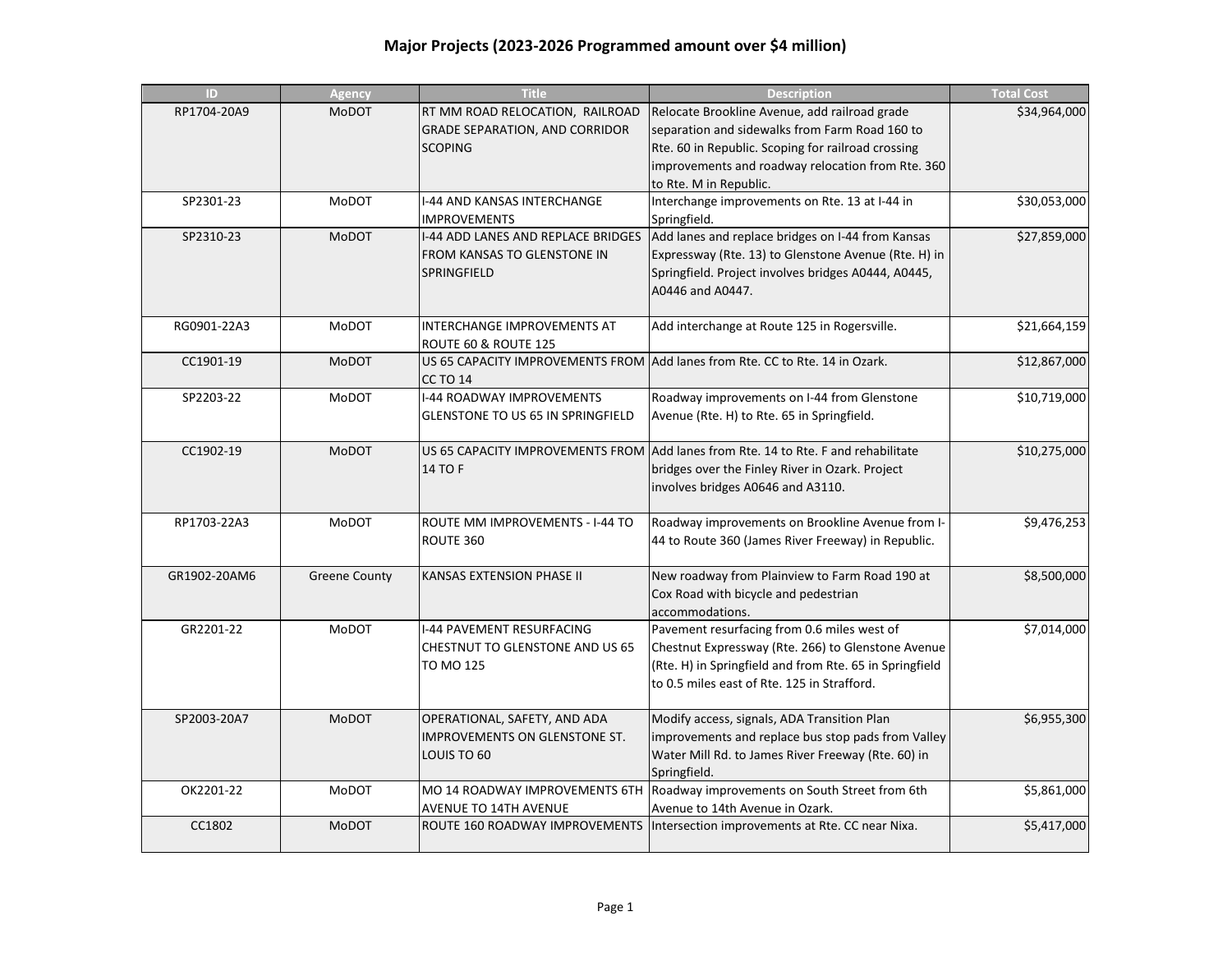## **Major Projects (2023-2026 Programmed amount over \$4 million)**

| ID           | <b>Agency</b>        | <b>Title</b>                             | <b>Description</b>                                                                 | <b>Total Cost</b> |
|--------------|----------------------|------------------------------------------|------------------------------------------------------------------------------------|-------------------|
| RP1704-20A9  | <b>MoDOT</b>         | RT MM ROAD RELOCATION, RAILROAD          | Relocate Brookline Avenue, add railroad grade                                      | \$34,964,000      |
|              |                      | <b>GRADE SEPARATION, AND CORRIDOR</b>    | separation and sidewalks from Farm Road 160 to                                     |                   |
|              |                      | <b>SCOPING</b>                           | Rte. 60 in Republic. Scoping for railroad crossing                                 |                   |
|              |                      |                                          | improvements and roadway relocation from Rte. 360                                  |                   |
|              |                      |                                          | to Rte. M in Republic.                                                             |                   |
| SP2301-23    | <b>MoDOT</b>         | I-44 AND KANSAS INTERCHANGE              | Interchange improvements on Rte. 13 at I-44 in                                     | \$30,053,000      |
|              |                      | <b>IMPROVEMENTS</b>                      | Springfield.                                                                       |                   |
| SP2310-23    | <b>MoDOT</b>         | I-44 ADD LANES AND REPLACE BRIDGES       | Add lanes and replace bridges on I-44 from Kansas                                  | \$27,859,000      |
|              |                      | FROM KANSAS TO GLENSTONE IN              | Expressway (Rte. 13) to Glenstone Avenue (Rte. H) in                               |                   |
|              |                      | SPRINGFIELD                              | Springfield. Project involves bridges A0444, A0445,                                |                   |
|              |                      |                                          | A0446 and A0447.                                                                   |                   |
| RG0901-22A3  | <b>MoDOT</b>         | INTERCHANGE IMPROVEMENTS AT              | Add interchange at Route 125 in Rogersville.                                       | \$21,664,159      |
|              |                      | ROUTE 60 & ROUTE 125                     |                                                                                    |                   |
| CC1901-19    | <b>MoDOT</b>         |                                          | US 65 CAPACITY IMPROVEMENTS FROM Add lanes from Rte. CC to Rte. 14 in Ozark.       | \$12,867,000      |
|              |                      | <b>CC TO 14</b>                          |                                                                                    |                   |
| SP2203-22    | MoDOT                | I-44 ROADWAY IMPROVEMENTS                | Roadway improvements on I-44 from Glenstone                                        | \$10,719,000      |
|              |                      | <b>GLENSTONE TO US 65 IN SPRINGFIELD</b> | Avenue (Rte. H) to Rte. 65 in Springfield.                                         |                   |
|              |                      |                                          |                                                                                    |                   |
| CC1902-19    | <b>MoDOT</b>         |                                          | US 65 CAPACITY IMPROVEMENTS FROM add lanes from Rte. 14 to Rte. F and rehabilitate | \$10,275,000      |
|              |                      | 14 TO F                                  | bridges over the Finley River in Ozark. Project                                    |                   |
|              |                      |                                          | involves bridges A0646 and A3110.                                                  |                   |
|              |                      |                                          |                                                                                    |                   |
| RP1703-22A3  | <b>MoDOT</b>         | ROUTE MM IMPROVEMENTS - I-44 TO          | Roadway improvements on Brookline Avenue from I-                                   | \$9,476,253       |
|              |                      | ROUTE 360                                | 44 to Route 360 (James River Freeway) in Republic.                                 |                   |
|              |                      |                                          |                                                                                    |                   |
| GR1902-20AM6 | <b>Greene County</b> | KANSAS EXTENSION PHASE II                | New roadway from Plainview to Farm Road 190 at                                     | \$8,500,000       |
|              |                      |                                          | Cox Road with bicycle and pedestrian                                               |                   |
|              |                      |                                          | accommodations.                                                                    |                   |
| GR2201-22    | MoDOT                | I-44 PAVEMENT RESURFACING                | Pavement resurfacing from 0.6 miles west of                                        | \$7,014,000       |
|              |                      | CHESTNUT TO GLENSTONE AND US 65          | Chestnut Expressway (Rte. 266) to Glenstone Avenue                                 |                   |
|              |                      | TO MO 125                                | (Rte. H) in Springfield and from Rte. 65 in Springfield                            |                   |
|              |                      |                                          | to 0.5 miles east of Rte. 125 in Strafford.                                        |                   |
| SP2003-20A7  | <b>MoDOT</b>         | OPERATIONAL, SAFETY, AND ADA             | Modify access, signals, ADA Transition Plan                                        | \$6,955,300       |
|              |                      | IMPROVEMENTS ON GLENSTONE ST.            | improvements and replace bus stop pads from Valley                                 |                   |
|              |                      | LOUIS TO 60                              | Water Mill Rd. to James River Freeway (Rte. 60) in                                 |                   |
|              |                      |                                          | Springfield.                                                                       |                   |
| OK2201-22    | MoDOT                |                                          | MO 14 ROADWAY IMPROVEMENTS 6TH Roadway improvements on South Street from 6th       | \$5,861,000       |
|              |                      | <b>AVENUE TO 14TH AVENUE</b>             | Avenue to 14th Avenue in Ozark.                                                    |                   |
| CC1802       | <b>MoDOT</b>         |                                          | ROUTE 160 ROADWAY IMPROVEMENTS   Intersection improvements at Rte. CC near Nixa.   | \$5,417,000       |
|              |                      |                                          |                                                                                    |                   |